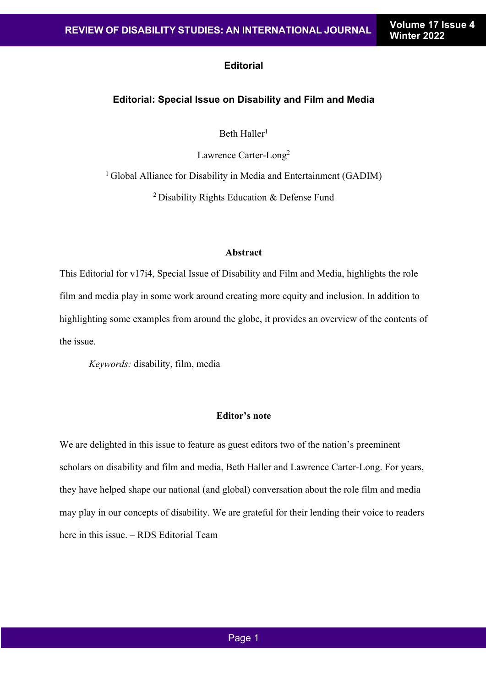# **Editorial**

## **Editorial: Special Issue on Disability and Film and Media**

Beth Haller<sup>1</sup>

Lawrence Carter-Long2

<sup>1</sup> Global Alliance for Disability in Media and Entertainment (GADIM)

2 Disability Rights Education & Defense Fund

### **Abstract**

This Editorial for v17i4, Special Issue of Disability and Film and Media, highlights the role film and media play in some work around creating more equity and inclusion. In addition to highlighting some examples from around the globe, it provides an overview of the contents of the issue.

*Keywords:* disability, film, media

# **Editor's note**

We are delighted in this issue to feature as guest editors two of the nation's preeminent scholars on disability and film and media, Beth Haller and Lawrence Carter-Long. For years, they have helped shape our national (and global) conversation about the role film and media may play in our concepts of disability. We are grateful for their lending their voice to readers here in this issue. – RDS Editorial Team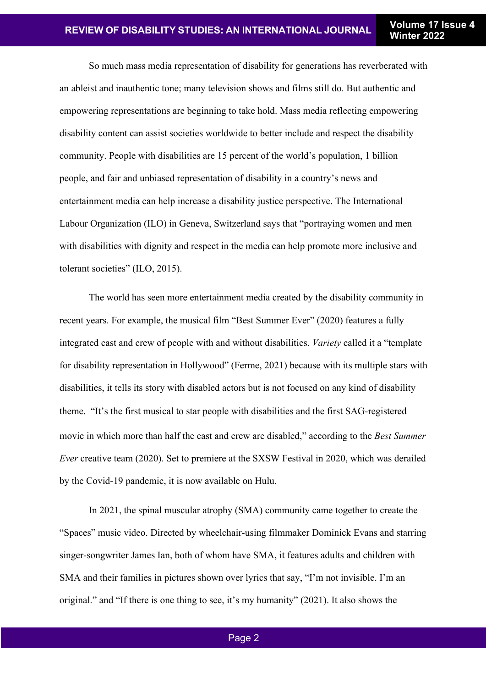So much mass media representation of disability for generations has reverberated with an ableist and inauthentic tone; many television shows and films still do. But authentic and empowering representations are beginning to take hold. Mass media reflecting empowering disability content can assist societies worldwide to better include and respect the disability community. People with disabilities are 15 percent of the world's population, 1 billion people, and fair and unbiased representation of disability in a country's news and entertainment media can help increase a disability justice perspective. The International Labour Organization (ILO) in Geneva, Switzerland says that "portraying women and men with disabilities with dignity and respect in the media can help promote more inclusive and tolerant societies" (ILO, 2015).

The world has seen more entertainment media created by the disability community in recent years. For example, the musical film "Best Summer Ever" (2020) features a fully integrated cast and crew of people with and without disabilities. *Variety* called it a "template for disability representation in Hollywood" (Ferme, 2021) because with its multiple stars with disabilities, it tells its story with disabled actors but is not focused on any kind of disability theme. "It's the first musical to star people with disabilities and the first SAG-registered movie in which more than half the cast and crew are disabled," according to the *Best Summer Ever* creative team (2020). Set to premiere at the SXSW Festival in 2020, which was derailed by the Covid-19 pandemic, it is now available on Hulu.

In 2021, the spinal muscular atrophy (SMA) community came together to create the "Spaces" music video. Directed by wheelchair-using filmmaker Dominick Evans and starring singer-songwriter James Ian, both of whom have SMA, it features adults and children with SMA and their families in pictures shown over lyrics that say, "I'm not invisible. I'm an original." and "If there is one thing to see, it's my humanity" (2021). It also shows the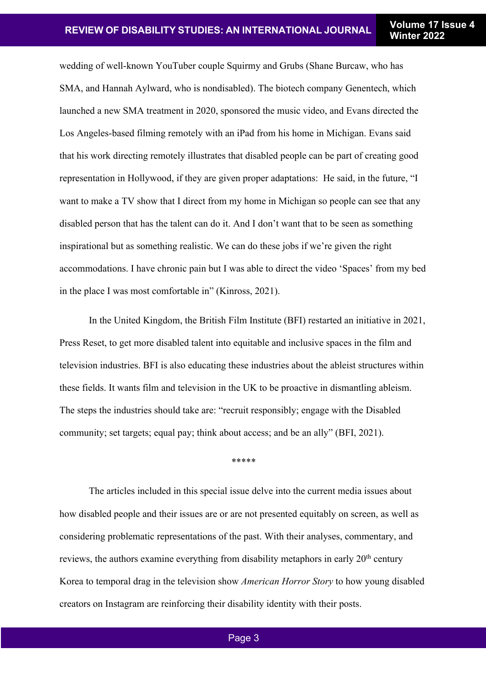wedding of well-known YouTuber couple Squirmy and Grubs (Shane Burcaw, who has SMA, and Hannah Aylward, who is nondisabled). The biotech company Genentech, which launched a new SMA treatment in 2020, sponsored the music video, and Evans directed the Los Angeles-based filming remotely with an iPad from his home in Michigan. Evans said that his work directing remotely illustrates that disabled people can be part of creating good representation in Hollywood, if they are given proper adaptations: He said, in the future, "I want to make a TV show that I direct from my home in Michigan so people can see that any disabled person that has the talent can do it. And I don't want that to be seen as something inspirational but as something realistic. We can do these jobs if we're given the right accommodations. I have chronic pain but I was able to direct the video 'Spaces' from my bed in the place I was most comfortable in" (Kinross, 2021).

In the United Kingdom, the British Film Institute (BFI) restarted an initiative in 2021, Press Reset, to get more disabled talent into equitable and inclusive spaces in the film and television industries. BFI is also educating these industries about the ableist structures within these fields. It wants film and television in the UK to be proactive in dismantling ableism. The steps the industries should take are: "recruit responsibly; engage with the Disabled community; set targets; equal pay; think about access; and be an ally" (BFI, 2021).

\*\*\*\*\*

The articles included in this special issue delve into the current media issues about how disabled people and their issues are or are not presented equitably on screen, as well as considering problematic representations of the past. With their analyses, commentary, and reviews, the authors examine everything from disability metaphors in early 20<sup>th</sup> century Korea to temporal drag in the television show *American Horror Story* to how young disabled creators on Instagram are reinforcing their disability identity with their posts.

### Page 3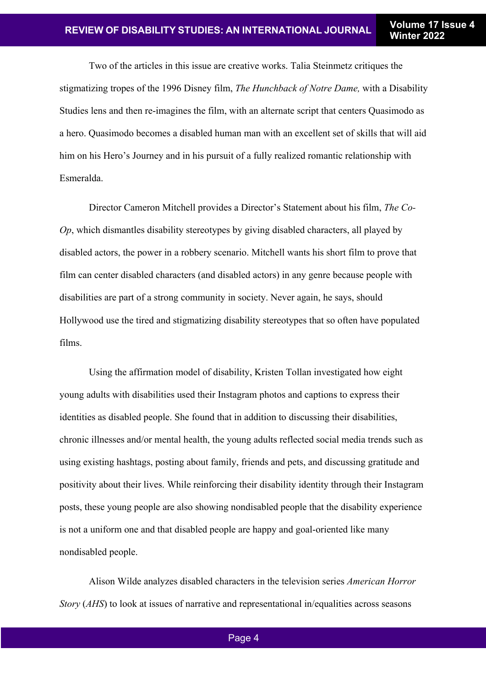Two of the articles in this issue are creative works. Talia Steinmetz critiques the stigmatizing tropes of the 1996 Disney film, *The Hunchback of Notre Dame,* with a Disability Studies lens and then re-imagines the film, with an alternate script that centers Quasimodo as a hero. Quasimodo becomes a disabled human man with an excellent set of skills that will aid him on his Hero's Journey and in his pursuit of a fully realized romantic relationship with Esmeralda.

Director Cameron Mitchell provides a Director's Statement about his film, *The Co-Op*, which dismantles disability stereotypes by giving disabled characters, all played by disabled actors, the power in a robbery scenario. Mitchell wants his short film to prove that film can center disabled characters (and disabled actors) in any genre because people with disabilities are part of a strong community in society. Never again, he says, should Hollywood use the tired and stigmatizing disability stereotypes that so often have populated films.

Using the affirmation model of disability, Kristen Tollan investigated how eight young adults with disabilities used their Instagram photos and captions to express their identities as disabled people. She found that in addition to discussing their disabilities, chronic illnesses and/or mental health, the young adults reflected social media trends such as using existing hashtags, posting about family, friends and pets, and discussing gratitude and positivity about their lives. While reinforcing their disability identity through their Instagram posts, these young people are also showing nondisabled people that the disability experience is not a uniform one and that disabled people are happy and goal-oriented like many nondisabled people.

Alison Wilde analyzes disabled characters in the television series *American Horror Story* (*AHS*) to look at issues of narrative and representational in/equalities across seasons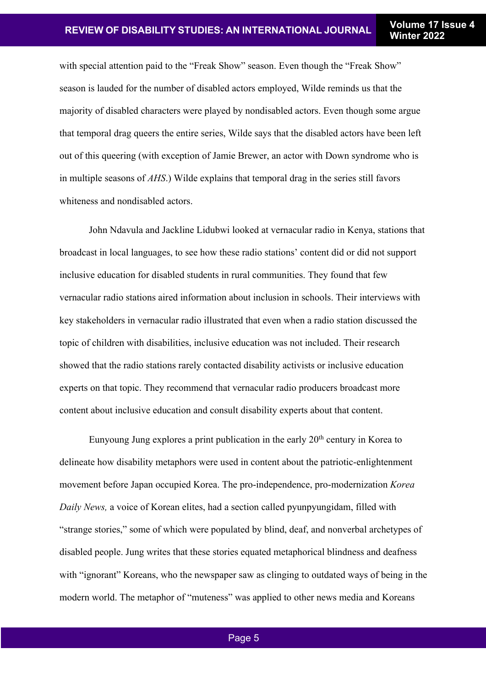with special attention paid to the "Freak Show" season. Even though the "Freak Show" season is lauded for the number of disabled actors employed, Wilde reminds us that the majority of disabled characters were played by nondisabled actors. Even though some argue that temporal drag queers the entire series, Wilde says that the disabled actors have been left out of this queering (with exception of Jamie Brewer, an actor with Down syndrome who is in multiple seasons of *AHS*.) Wilde explains that temporal drag in the series still favors whiteness and nondisabled actors.

John Ndavula and Jackline Lidubwi looked at vernacular radio in Kenya, stations that broadcast in local languages, to see how these radio stations' content did or did not support inclusive education for disabled students in rural communities. They found that few vernacular radio stations aired information about inclusion in schools. Their interviews with key stakeholders in vernacular radio illustrated that even when a radio station discussed the topic of children with disabilities, inclusive education was not included. Their research showed that the radio stations rarely contacted disability activists or inclusive education experts on that topic. They recommend that vernacular radio producers broadcast more content about inclusive education and consult disability experts about that content.

Eunyoung Jung explores a print publication in the early 20<sup>th</sup> century in Korea to delineate how disability metaphors were used in content about the patriotic-enlightenment movement before Japan occupied Korea. The pro-independence, pro-modernization *Korea Daily News,* a voice of Korean elites, had a section called pyunpyungidam, filled with "strange stories," some of which were populated by blind, deaf, and nonverbal archetypes of disabled people. Jung writes that these stories equated metaphorical blindness and deafness with "ignorant" Koreans, who the newspaper saw as clinging to outdated ways of being in the modern world. The metaphor of "muteness" was applied to other news media and Koreans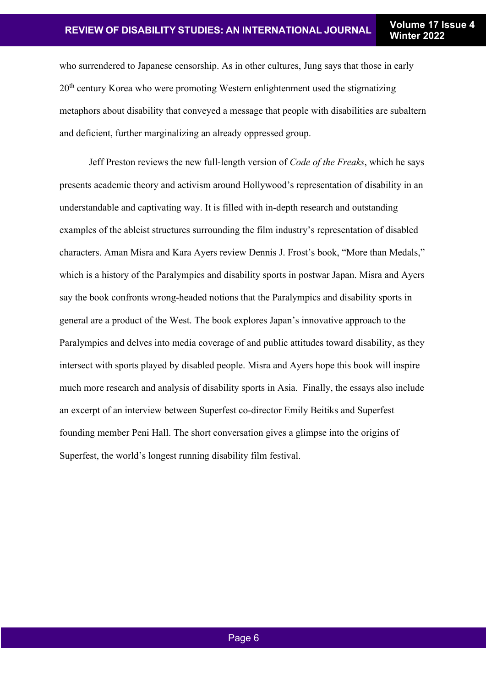who surrendered to Japanese censorship. As in other cultures, Jung says that those in early 20<sup>th</sup> century Korea who were promoting Western enlightenment used the stigmatizing metaphors about disability that conveyed a message that people with disabilities are subaltern and deficient, further marginalizing an already oppressed group.

Jeff Preston reviews the new full-length version of *Code of the Freaks*, which he says presents academic theory and activism around Hollywood's representation of disability in an understandable and captivating way. It is filled with in-depth research and outstanding examples of the ableist structures surrounding the film industry's representation of disabled characters. Aman Misra and Kara Ayers review Dennis J. Frost's book, "More than Medals," which is a history of the Paralympics and disability sports in postwar Japan. Misra and Ayers say the book confronts wrong-headed notions that the Paralympics and disability sports in general are a product of the West. The book explores Japan's innovative approach to the Paralympics and delves into media coverage of and public attitudes toward disability, as they intersect with sports played by disabled people. Misra and Ayers hope this book will inspire much more research and analysis of disability sports in Asia. Finally, the essays also include an excerpt of an interview between Superfest co-director Emily Beitiks and Superfest founding member Peni Hall. The short conversation gives a glimpse into the origins of Superfest, the world's longest running disability film festival.